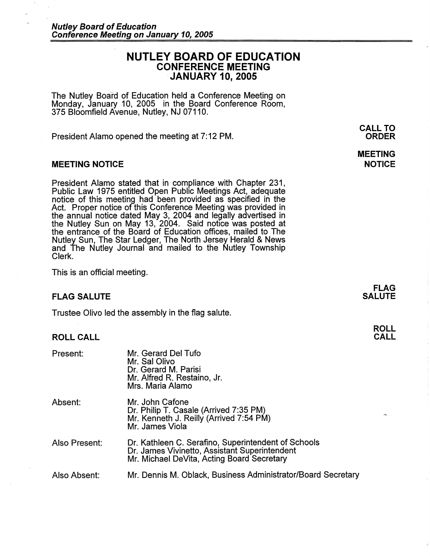# **NUTLEY BOARD OF EDUCATION CONFERENCE MEETING JANUARY 10, 2005**

The Nutley Board of Education held a Conference Meeting on Monday, January 10, 2005 in the Board Conference Room, 375 Bloomfield Avenue, Nutley, NJ 07110.

President Alamo opened the meeting at 7: 12 PM.

## **MEETING NOTICE**

President Alamo stated that in compliance with Chapter 231, Public Law 1975 entitled Open Public Meetings Act, adequate notice of this meeting had been provided as specified in the Act. Proper notice of this Conference Meeting was provided in the annual notice dated May 3, 2004 and legally advertised in the Nutley Sun on May 13, 2004. Said notice was posted at the entrance of the Board of Education offices, mailed to The Nutley Sun, The Star Ledger, The North Jersey Herald & News and The Nutley Journal and mailed to the Nutley Township Clerk.

This is an official meeting.

### **FLAG SALUTE**

Trustee Olivo led the assembly in the flag salute.

# **ROLL CALL**

| Present:      | Mr. Gerard Del Tufo<br>Mr. Sal Olivo<br>Dr. Gerard M. Parisi<br>Mr. Alfred R. Restaino, Jr.<br>Mrs. Maria Alamo                                    |
|---------------|----------------------------------------------------------------------------------------------------------------------------------------------------|
| Absent:       | Mr. John Cafone<br>Dr. Philip T. Casale (Arrived 7:35 PM)<br>Mr. Kenneth J. Reilly (Arrived 7:54 PM)<br>Mr. James Viola                            |
| Also Present: | Dr. Kathleen C. Serafino, Superintendent of Schools<br>Dr. James Vivinetto, Assistant Superintendent<br>Mr. Michael DeVita, Acting Board Secretary |
| Also Absent:  | Mr. Dennis M. Oblack, Business Administrator/Board Secretary                                                                                       |

**CALL TO ORDER** 

**MEETING NOTICE** 

> **FLAG SALUTE**

> > **ROLL CALL**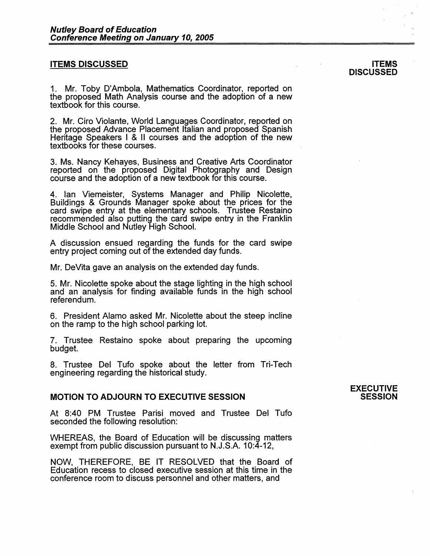# **ITEMS DISCUSSED**

1. Mr. Toby D'Ambola, Mathematics Coordinator, reported on the proposed Math Analysis course and the adoption of a new textbook for this course.

2. Mr. Ciro Violante, World Languages Coordinator, reported on the proposed Advance Placement Italian and proposed Spanish Heritage Speakers I & 11 courses and the adoption of the new textbooks for these courses.

3. Ms. Nancy Kehayes, Business and Creative Arts Coordinator reported on the proposed Digital Photography and Design course and the adoption of a new textbook for this course.

4. Ian Viemeister, Systems Manager and Philip Nicolette, Buildings & Grounds Manager spoke about the prices for the card swipe entry at the elementary schools. Trustee Restaino recommended also putting the card swipe entry in the Franklin Middle School and Nutley High School.

A discussion ensued regarding the funds for the card swipe entry project coming out of the extended day funds.

Mr. DeVita gave an analysis on the extended day funds.

5. Mr. Nicolette spoke about the stage lighting in the high school and an analysis for finding available funds in the high school referendum.

6. President Alamo asked Mr. Nicolette about the steep incline on the ramp to the high school parking lot.

7. Trustee Restaino spoke about preparing the upcoming budget.

8. Trustee Del Tufo spoke about the letter from Tri-Tech engineering regarding the historica1 study.

# **MOTION TO ADJOURN TO EXECUTIVE SESSION**

At 8:40 PM Trustee Parisi moved and Trustee Del Tufo seconded the following resolution:

WHEREAS, the Board of Education will be discussing matters exempt from public discussion pursuant to N.J.S.A. 10:4-12,

NOW, THEREFORE, BE IT RESOLVED that the Board of Education recess to closed executive session at this time in the conference room to discuss personnel and other matters, and

#### **EXECUTIVE SESSION**

#### **ITEMS DISCUSSED**